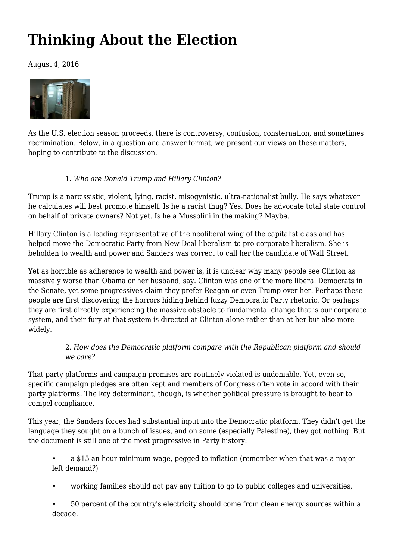# **[Thinking About the Election](https://newpol.org/thinking-about-election/)**

August 4, 2016



As the U.S. election season proceeds, there is controversy, confusion, consternation, and sometimes recrimination. Below, in a question and answer format, we present our views on these matters, hoping to contribute to the discussion.

## 1. *Who are Donald Trump and Hillary Clinton?*

Trump is a narcissistic, violent, lying, racist, misogynistic, ultra-nationalist bully. He says whatever he calculates will best promote himself. Is he a racist thug? Yes. Does he advocate total state control on behalf of private owners? Not yet. Is he a Mussolini in the making? Maybe.

Hillary Clinton is a leading representative of the neoliberal wing of the capitalist class and has helped move the Democratic Party from New Deal liberalism to pro-corporate liberalism. She is beholden to wealth and power and Sanders was correct to call her the candidate of Wall Street.

Yet as horrible as adherence to wealth and power is, it is unclear why many people see Clinton as massively worse than Obama or her husband, say. Clinton was one of the [more liberal](http://www.dailykos.com/story/2015/3/31/1374629/-Hillary-Clinton-Was-the-11th-Most-Liberal-Member-of-the-Senate) Democrats in the Senate, yet some progressives claim they prefer Reagan or even Trump over her. Perhaps these people are first discovering the horrors hiding behind fuzzy Democratic Party rhetoric. Or perhaps they are first directly experiencing the massive obstacle to fundamental change that is our corporate system, and their fury at that system is directed at Clinton alone rather than at her but also more widely.

## 2. *How does the Democratic platform compare with the Republican platform and should we care?*

That party platforms and campaign promises are routinely violated is undeniable. Yet, even so, [specific](https://www.washingtonpost.com/blogs/ezra-klein/post/presidents-keep-their-campaign-promises/2011/08/25/gIQAwCA9DQ_blog.html) [campaign](http://www.washingtonmonthly.com/magazine/january_february_2012/features/campaign_promises034471.php?page=all) [pledges](http://fivethirtyeight.com/FEATURES/TRUST-US-POLITICIANS-KEEP-MOST-OF-THEIR-PROMISES/) are often kept and members of Congress often vote in accord with their party [platforms](http://www.vox.com/2016/7/12/12060358/political-science-of-platforms). The key determinant, though, is whether political pressure is brought to bear to compel compliance.

This year, the Sanders forces had substantial input into the Democratic platform. They didn't get the language they sought on a bunch of issues, and on some (especially Palestine), they got nothing. But the document is still one of the most progressive in Party history:

- a \$15 an hour minimum wage, pegged to inflation (remember when that was a major left demand?)
- working families should not pay any tuition to go to public colleges and universities,

• 50 percent of the country's electricity should come from clean energy sources within a decade,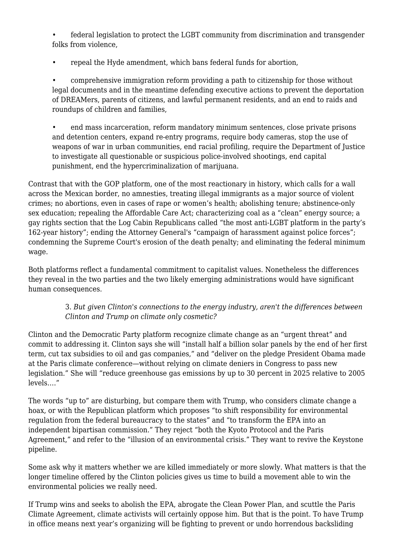• federal legislation to protect the LGBT community from discrimination and transgender folks from violence,

• repeal the Hyde amendment, which bans federal funds for abortion,

• comprehensive immigration reform providing a path to citizenship for those without legal documents and in the meantime defending executive actions to prevent the deportation of DREAMers, parents of citizens, and lawful permanent residents, and an end to raids and roundups of children and families,

• end mass incarceration, reform mandatory minimum sentences, close private prisons and detention centers, expand re-entry programs, require body cameras, stop the use of weapons of war in urban communities, end racial profiling, require the Department of Justice to investigate all questionable or suspicious police-involved shootings, end capital punishment, end the hypercriminalization of marijuana.

Contrast that with the GOP platform, one of the most reactionary in history, which calls for a wall across the Mexican border, no amnesties, treating illegal immigrants as a major source of violent crimes; no abortions, even in cases of rape or women's health; abolishing tenure; abstinence-only sex education; repealing the Affordable Care Act; characterizing coal as a "clean" energy source; a gay rights section that the Log Cabin Republicans [called](http://www.logcabin.org/pressrelease/a-message-on-the-gop-platform-from-log-cabin-republicans-president-gregory-t-angelo/) "the most anti-LGBT platform in the party's 162-year history"; ending the Attorney General's "campaign of harassment against police forces"; condemning the Supreme Court's erosion of the death penalty; and eliminating the federal minimum wage.

Both platforms reflect a fundamental commitment to capitalist values. Nonetheless the differences they reveal in the two parties and the two likely emerging administrations would have significant human consequences.

#### 3. *But given Clinton's connections to the energy industry, aren't the differences between Clinton and Trump on climate only cosmetic?*

Clinton and the Democratic Party platform recognize climate change as an "urgent threat" and commit to addressing it. Clinton says she will "install half a billion solar panels by the end of her first term, cut tax subsidies to oil and gas companies," and "deliver on the pledge President Obama made at the Paris climate conference—without relying on climate deniers in Congress to pass new legislation." She will "reduce greenhouse gas emissions by up to 30 percent in 2025 relative to 2005 levels…."

The words "up to" are disturbing, but compare them with Trump, who considers climate change a hoax, or with the Republican platform which proposes "to shift responsibility for environmental regulation from the federal bureaucracy to the states" and "to transform the EPA into an independent bipartisan commission." They reject "both the Kyoto Protocol and the Paris Agreement," and refer to the "illusion of an environmental crisis." They want to revive the Keystone pipeline.

Some ask why it matters whether we are killed immediately or more slowly. What matters is that the longer timeline offered by the Clinton policies gives us time to build a movement able to win the environmental policies we really need.

If Trump wins and seeks to abolish the EPA, abrogate the Clean Power Plan, and scuttle the Paris Climate Agreement, climate activists will certainly oppose him. But that is the point. To have Trump in office means next year's organizing will be fighting to prevent or undo horrendous backsliding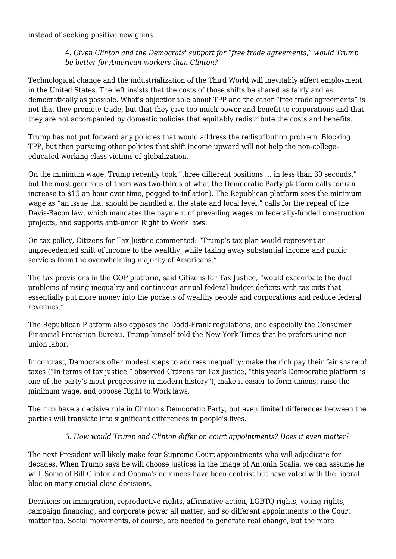instead of seeking positive new gains.

## 4. *Given Clinton and the Democrats' support for "free trade agreements," would Trump be better for American workers than Clinton?*

Technological change and the industrialization of the Third World will inevitably affect employment in the United States. The left insists that the costs of those shifts be shared as fairly and as democratically as possible. What's objectionable about TPP and the other "free trade agreements" is not that they promote trade, but that they give too much power and benefit to corporations and that they are not accompanied by domestic policies that equitably redistribute the costs and benefits.

Trump has not put forward any policies that would address the redistribution problem. Blocking TPP, but then pursuing other policies that shift income upward will not help the non-collegeeducated working class victims of globalization.

On the minimum wage, Trump recently [took](http://thinkprogress.org/economy/2016/07/27/3802419/donald-trump-changing-minimum-wage/) "three different positions … in less than 30 seconds," but the most generous of them was two-thirds of what the Democratic Party platform calls for (an increase to \$15 an hour over time, pegged to inflation). The Republican platform sees the minimum wage as "an issue that should be handled at the state and local level," calls for the repeal of the Davis-Bacon law, which mandates the payment of prevailing wages on federally-funded construction projects, and supports anti-union Right to Work laws.

On tax policy, [Citizens for Tax Justice](http://www.taxjusticeblog.org/archive/2016/06/donald_trumps_nonsense_rhetori.php%252525252523.V5kB9PkrKUk) commented: "Trump's tax plan would represent an unprecedented shift of income to the wealthy, while taking away substantial income and public services from the overwhelming majority of Americans."

The tax provisions in the GOP platform, said Citizens for Tax Justice, "would exacerbate the dual problems of rising inequality and continuous annual federal budget deficits with tax cuts that essentially put more money into the pockets of wealthy people and corporations and reduce federal revenues."

The Republican Platform also opposes the Dodd-Frank regulations, and especially the Consumer Financial Protection Bureau. Trump himself told the [New York Times](http://www.nytimes.com/politics/first-draft/2015/11/20/donald-trump-fields-questions-on-jobs-in-iowa/) that he prefers using nonunion labor.

In contrast, Democrats offer modest steps to address inequality: make the rich pay their fair share of taxes ("In terms of tax justice," [observed](http://www.taxjusticeblog.org/archive/2016/07/the_democrats_new_and_more_pro.php%252525252523.V5oy3fkrKUm) Citizens for Tax Justice, "this year's Democratic platform is one of the party's most progressive in modern history"), make it easier to form unions, raise the minimum wage, and oppose Right to Work laws.

[The rich](http://www.nytimes.com/2016/07/29/us/politics/hillary-clinton-donors.html) have a decisive role in Clinton's Democratic Party, but even limited differences between the parties will translate into significant differences in people's lives.

## 5. *How would Trump and Clinton differ on court appointments? Does it even matter?*

The next President will likely make four Supreme Court appointments who will adjudicate for decades. When Trump says he will choose justices in the image of Antonin Scalia, we can assume he will. Some of Bill Clinton and Obama's nominees have been centrist but have voted with the liberal bloc on many crucial close decisions.

Decisions on immigration, reproductive rights, affirmative action, LGBTQ rights, voting rights, campaign financing, and corporate power all matter, and so different appointments to the Court matter too. Social movements, of course, are needed to generate real change, but the more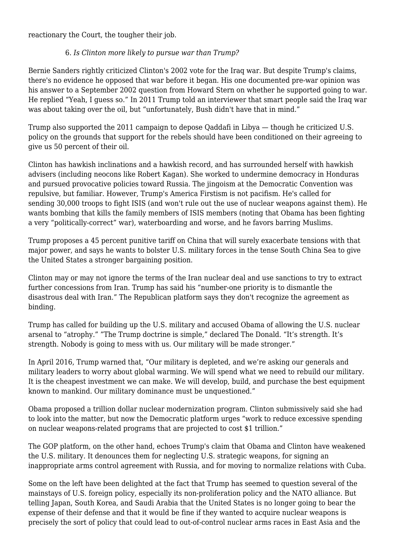reactionary the Court, the tougher their job.

#### 6. *Is Clinton more likely to pursue war than Trump?*

Bernie Sanders rightly criticized Clinton's 2002 vote for the Iraq war. But despite Trump's claims, there's no evidence he opposed that war before it began. His one [documented](http://www.factcheck.org/2016/02/donald-trump-and-the-iraq-war/) pre-war opinion was his answer to a September 2002 question from Howard Stern on whether he supported going to war. He replied "Yeah, I guess so." In 2011 Trump [told](https://www.youtube.com/watch?v=TsMgF9LSWN4&feature=youtu.be&t=266) an interviewer that smart people said the Iraq war was about taking over the oil, but "unfortunately, Bush didn't have that in mind."

Trump also [supported](http://tinyurl.com/jfqzqkp) the 2011 campaign to depose Qaddafi in Libya — though he [criticized](https://www.youtube.com/watch?v=duyvYNh-fLw) U.S. policy on the grounds that support for the rebels should have been conditioned on their agreeing to give us 50 percent of their oil.

Clinton has hawkish inclinations and a hawkish record, and has surrounded herself with hawkish advisers (including neocons like Robert Kagan). She worked to undermine democracy in Honduras and pursued provocative policies toward Russia. The jingoism at the Democratic Convention was repulsive, but familiar. However, Trump's America Firstism is not pacifism. He's called for sending [30,000 troops](http://www.politico.com/blogs/2016-gop-primary-live-updates-and-results/2016/03/trump-iraq-syria-220608) to fight ISIS (and [won't rule out](http://fortune.com/2016/03/23/trump-nuclear-weapons-isis/) the use of nuclear weapons against them). He wants bombing that kills the [family members](http://www.cnn.com/2015/12/02/politics/donald-trump-terrorists-families/) of ISIS members (noting that Obama has been fighting a very "politically-correct" war), waterboarding and worse, and he favors barring Muslims.

Trump proposes a [45 percent](http://www.nytimes.com/politics/first-draft/2016/01/07/donald-trump-says-he-favors-big-tariffs-on-chinese-exports/) punitive tariff on China that will surely exacerbate tensions with that major power, and says he wants to [bolster](https://www.donaldjtrump.com/positions/us-china-trade-reform) U.S. military forces in the tense South China Sea to give the United States a stronger bargaining position.

Clinton may or may not ignore the terms of the Iran nuclear deal and use sanctions to try to extract further concessions from Iran. Trump [has said](http://time.com/4267058/donald-trump-aipac-speech-transcript/) his "number-one priority is to dismantle the disastrous deal with Iran." The Republican platform says they don't recognize the agreement as binding.

Trump has called for building up the U.S. military and accused Obama of allowing the U.S. nuclear arsenal to "[atrophy.](https://www.donaldjtrump.com/press-releases/donald-j.-trump-foreign-policy-speech)" "The Trump doctrine is simple," [declared](http://dailycaller.com/2015/10/25/the-trump-doctrine-is-very-simple-its-strength-video/) The Donald. "It's strength. It's strength. Nobody is going to mess with us. Our military will be made stronger."

In April 2016, Trump [warned](https://www.donaldjtrump.com/press-releases/donald-j.-trump-foreign-policy-speech) that, "Our military is depleted, and we're asking our generals and military leaders to worry about global warming. We will spend what we need to rebuild our military. It is the cheapest investment we can make. We will develop, build, and purchase the best equipment known to mankind. Our military dominance must be unquestioned."

Obama proposed a trillion dollar nuclear modernization program. Clinton submissively said she had to look into the matter, but now the Democratic platform urges "work to reduce excessive spending on nuclear weapons-related programs that are projected to cost \$1 trillion."

The GOP platform, on the other hand, echoes Trump's claim that Obama and Clinton have weakened the U.S. military. It denounces them for neglecting U.S. strategic weapons, for signing an inappropriate arms control agreement with Russia, and for moving to normalize relations with Cuba.

Some on the left have been delighted at the fact that Trump has seemed to question several of the mainstays of U.S. foreign policy, especially its non-proliferation policy and the NATO alliance. But telling Japan, South Korea, and Saudi Arabia that the United States is no longer going to bear the expense of their defense and that it would be fine if they wanted to [acquire nuclear weapons](http://www.cbsnews.com/news/donald-trump-japan-south-korea-might-need-nuclear-weapons/) is precisely the sort of policy that could lead to out-of-control nuclear arms races in East Asia and the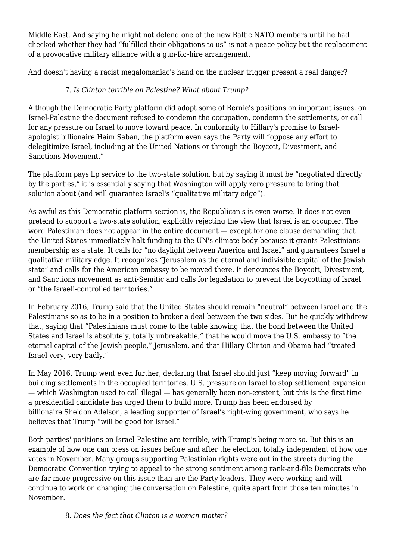Middle East. And [saying](http://www.nytimes.com/2016/07/22/us/politics/donald-trump-foreign-policy-interview.html) he might not defend one of the new Baltic NATO members until he had checked whether they had "fulfilled their obligations to us" is not a peace policy but the replacement of a provocative military alliance with a gun-for-hire arrangement.

And doesn't having a racist megalomaniac's hand on the nuclear trigger present a real danger?

## 7. *Is Clinton terrible on Palestine? What about Trump?*

Although the Democratic Party platform did adopt some of Bernie's positions on important issues, on Israel-Palestine the document refused to condemn the occupation, condemn the settlements, or call for any pressure on Israel to move toward peace. In conformity to Hillary's [promise](https://www.documentcloud.org/documents/2158218-hillary-clintons-letter-to-haim-saban-against-bds.html) to Israelapologist billionaire Haim Saban, the platform even says the Party will "oppose any effort to delegitimize Israel, including at the United Nations or through the Boycott, Divestment, and Sanctions Movement."

The platform pays lip service to the two-state solution, but by saying it must be "negotiated directly by the parties," it is essentially saying that Washington will apply zero pressure to bring that solution about (and will guarantee Israel's "qualitative military edge").

As awful as this Democratic platform section is, the Republican's is even worse. It does not even pretend to support a two-state solution, explicitly rejecting the view that Israel is an occupier. The word Palestinian does not appear in the entire document — except for one clause demanding that the United States immediately halt funding to the UN's climate body because it grants Palestinians membership as a state. It calls for "no daylight between America and Israel" and guarantees Israel a qualitative military edge. It recognizes "Jerusalem as the eternal and indivisible capital of the Jewish state" and calls for the American embassy to be moved there. It denounces the Boycott, Divestment, and Sanctions movement as anti-Semitic and calls for legislation to prevent the boycotting of Israel or "the Israeli-controlled territories."

In February 2016, Trump said that the United States should remain "neutral" between Israel and the Palestinians so as to be in a position to broker a deal between the two sides. But he quickly withdrew that, [saying](http://www.jpost.com/US-Elections/Trump-Nobody-on-this-stage-is-more-pro-Israel-than-I-am-447597) that "Palestinians must come to the table knowing that the bond between the United States and Israel is absolutely, totally unbreakable," that he would move the U.S. embassy to "the eternal capital of the Jewish people," Jerusalem, and that Hillary Clinton and Obama had "treated Israel very, very badly."

In May 2016, Trump went even further, [declaring](http://www.israeltoday.co.il/NewsItem/tabid/178/nid/29124/Default.aspx) that Israel should just "keep moving forward" in building settlements in the occupied territories. U.S. pressure on Israel to stop settlement expansion — which Washington used to call illegal — has generally been non-existent, but this is the first time a presidential candidate has urged them to build more. Trump has been endorsed by billionaire [Sheldon Adelson,](http://www.nytimes.com/politics/first-draft/2016/05/05/sheldon-adelson-says-he-will-support-donald-trump/) a leading supporter of Israel's right-wing government, who says he believes that Trump "will be good for Israel."

Both parties' positions on Israel-Palestine are terrible, with Trump's being more so. But this is an example of how one can press on issues before and after the election, totally independent of how one votes in November. Many groups supporting Palestinian rights were out in the streets during the Democratic Convention trying to appeal to the strong sentiment among rank-and-file Democrats who are far more progressive on this issue than are the Party leaders. They were working and will continue to work on changing the conversation on Palestine, quite apart from those ten minutes in November.

8. *Does the fact that Clinton is a woman matter?*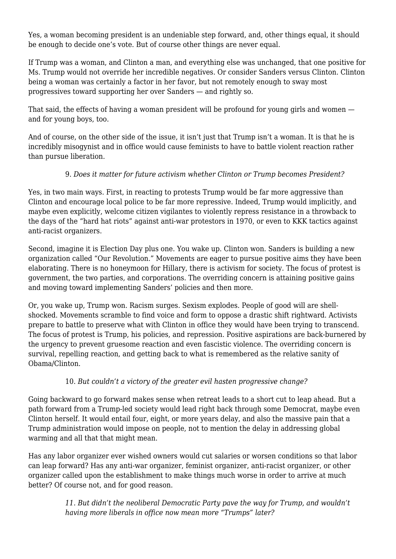Yes, a woman becoming president is an undeniable step forward, and, other things equal, it should be enough to decide one's vote. But of course other things are never equal.

If Trump was a woman, and Clinton a man, and everything else was unchanged, that one positive for Ms. Trump would not override her incredible negatives. Or consider Sanders versus Clinton. Clinton being a woman was certainly a factor in her favor, but not remotely enough to sway most progressives toward supporting her over Sanders — and rightly so.

That said, the effects of having a woman president will be profound for young girls and women and for young boys, too.

And of course, on the other side of the issue, it isn't just that Trump isn't a woman. It is that he is incredibly misogynist and in office would cause feminists to have to battle violent reaction rather than pursue liberation.

## 9. *Does it matter for future activism whether Clinton or Trump becomes President?*

Yes, in two main ways. First, in reacting to protests Trump would be far more aggressive than Clinton and encourage local police to be far more repressive. Indeed, Trump would implicitly, and maybe even explicitly, welcome citizen vigilantes to violently repress resistance in a throwback to the days of the "hard hat riots" against anti-war protestors in 1970, or even to KKK tactics against anti-racist organizers.

Second, imagine it is Election Day plus one. You wake up. Clinton won. Sanders is building a new organization called "Our Revolution." Movements are eager to pursue positive aims they have been elaborating. There is no honeymoon for Hillary, there is activism for society. The focus of protest is government, the two parties, and corporations. The overriding concern is attaining positive gains and moving toward implementing Sanders' policies and then more.

Or, you wake up, Trump won. Racism surges. Sexism explodes. People of good will are shellshocked. Movements scramble to find voice and form to oppose a drastic shift rightward. Activists prepare to battle to preserve what with Clinton in office they would have been trying to transcend. The focus of protest is Trump, his policies, and repression. Positive aspirations are back-burnered by the urgency to prevent gruesome reaction and even fascistic violence. The overriding concern is survival, repelling reaction, and getting back to what is remembered as the relative sanity of Obama/Clinton.

#### 10. *But couldn't a victory of the greater evil hasten progressive change?*

Going backward to go forward makes sense when retreat leads to a short cut to leap ahead. But a path forward from a Trump-led society would lead right back through some Democrat, maybe even Clinton herself. It would entail four, eight, or more years delay, and also the massive pain that a Trump administration would impose on people, not to mention the delay in addressing global warming and all that that might mean.

Has any labor organizer ever wished owners would cut salaries or worsen conditions so that labor can leap forward? Has any anti-war organizer, feminist organizer, anti-racist organizer, or other organizer called upon the establishment to make things much worse in order to arrive at much better? Of course not, and for good reason.

> *11. But didn't the neoliberal Democratic Party pave the way for Trump, and wouldn't having more liberals in office now mean more "Trumps" later?*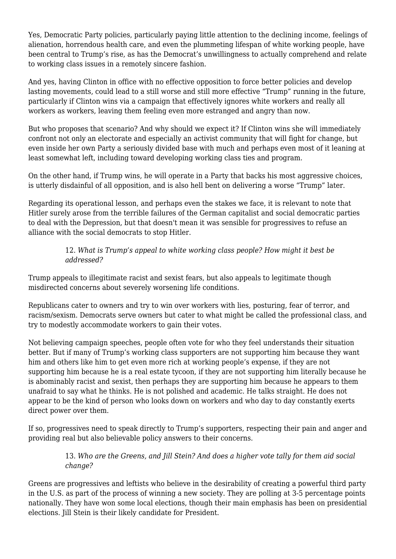Yes, Democratic Party policies, particularly paying little attention to the declining income, feelings of alienation, horrendous health care, and even the plummeting lifespan of white working people, have been central to Trump's rise, as has the Democrat's unwillingness to actually comprehend and relate to working class issues in a remotely sincere fashion.

And yes, having Clinton in office with no effective opposition to force better policies and develop lasting movements, could lead to a still worse and still more effective "Trump" running in the future, particularly if Clinton wins via a campaign that effectively ignores white workers and really all workers as workers, leaving them feeling even more estranged and angry than now.

But who proposes that scenario? And why should we expect it? If Clinton wins she will immediately confront not only an electorate and especially an activist community that will fight for change, but even inside her own Party a seriously divided base with much and perhaps even most of it leaning at least somewhat left, including toward developing working class ties and program.

On the other hand, if Trump wins, he will operate in a Party that backs his most aggressive choices, is utterly disdainful of all opposition, and is also hell bent on delivering a worse "Trump" later.

Regarding its operational lesson, and perhaps even the stakes we face, it is relevant to note that Hitler surely arose from the terrible failures of the German capitalist and social democratic parties to deal with the Depression, but that doesn't mean it was sensible for progressives to refuse an alliance with the social democrats to stop Hitler.

#### 12. *What is Trump's appeal to white working class people? How might it best be addressed?*

Trump appeals to illegitimate racist and sexist fears, but also appeals to legitimate though misdirected concerns about severely worsening life conditions.

Republicans cater to owners and try to win over workers with lies, posturing, fear of terror, and racism/sexism. Democrats serve owners but cater to what might be called the professional class, and try to modestly accommodate workers to gain their votes.

Not believing campaign speeches, people often vote for who they feel understands their situation better. But if many of Trump's working class supporters are not supporting him because they want him and others like him to get even more rich at working people's expense, if they are not supporting him because he is a real estate tycoon, if they are not supporting him literally because he is abominably racist and sexist, then perhaps they are supporting him because he appears to them unafraid to say what he thinks. He is not polished and academic. He talks straight. He does not appear to be the kind of person who looks down on workers and who day to day constantly exerts direct power over them.

If so, progressives need to speak directly to Trump's supporters, respecting their pain and anger and providing real but also believable policy answers to their concerns.

> 13. *Who are the Greens, and Jill Stein? And does a higher vote tally for them aid social change?*

Greens are progressives and leftists who believe in the desirability of creating a powerful third party in the U.S. as part of the process of winning a new society. They are polling at 3-5 percentage points nationally. They have won some local elections, though their main emphasis has been on presidential elections. Jill Stein is their likely candidate for President.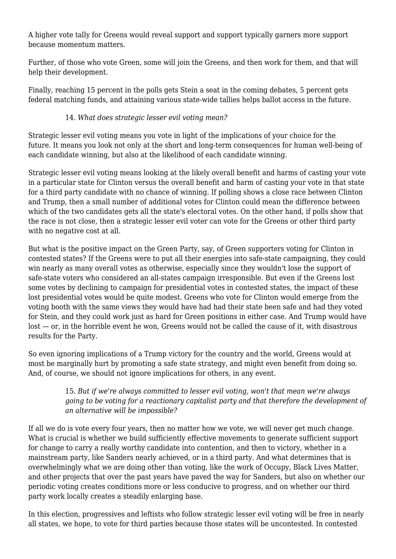A higher vote tally for Greens would reveal support and support typically garners more support because momentum matters.

Further, of those who vote Green, some will join the Greens, and then work for them, and that will help their development.

Finally, reaching 15 percent in the polls gets Stein a seat in the coming debates, 5 percent gets federal matching funds, and attaining various state-wide tallies helps ballot access in the future.

## 14. *What does strategic lesser evil voting mean?*

Strategic lesser evil voting means you vote in light of the implications of your choice for the future. It means you look not only at the short and long-term consequences for human well-being of each candidate winning, but also at the likelihood of each candidate winning.

Strategic lesser evil voting means looking at the likely overall benefit and harms of casting your vote in a particular state for Clinton versus the overall benefit and harm of casting your vote in that state for a third party candidate with no chance of winning. If polling shows a close race between Clinton and Trump, then a small number of additional votes for Clinton could mean the difference between which of the two candidates gets all the state's electoral votes. On the other hand, if polls show that the race is not close, then a strategic lesser evil voter can vote for the Greens or other third party with no negative cost at all.

But what is the positive impact on the Green Party, say, of Green supporters voting for Clinton in contested states? If the Greens were to put all their energies into safe-state campaigning, they could win nearly as many overall votes as otherwise, especially since they wouldn't lose the support of safe-state voters who considered an all-states campaign irresponsible. But even if the Greens lost some votes by declining to campaign for presidential votes in contested states, the impact of these lost presidential votes would be quite modest. Greens who vote for Clinton would emerge from the voting booth with the same views they would have had had their state been safe and had they voted for Stein, and they could work just as hard for Green positions in either case. And Trump would have lost — or, in the horrible event he won, Greens would not be called the cause of it, with disastrous results for the Party.

So even ignoring implications of a Trump victory for the country and the world, Greens would at most be marginally hurt by promoting a safe state strategy, and might even benefit from doing so. And, of course, we should not ignore implications for others, in any event.

#### 15. *But if we're always committed to lesser evil voting, won't that mean we're always going to be voting for a reactionary capitalist party and that therefore the development of an alternative will be impossible?*

If all we do is vote every four years, then no matter how we vote, we will never get much change. What is crucial is whether we build sufficiently effective movements to generate sufficient support for change to carry a really worthy candidate into contention, and then to victory, whether in a mainstream party, like Sanders nearly achieved, or in a third party. And what determines that is overwhelmingly what we are doing other than voting, like the work of Occupy, Black Lives Matter, and other projects that over the past years have paved the way for Sanders, but also on whether our periodic voting creates conditions more or less conducive to progress, and on whether our third party work locally creates a steadily enlarging base.

In this election, progressives and leftists who follow strategic lesser evil voting will be free in nearly all states, we hope, to vote for third parties because those states will be uncontested. In contested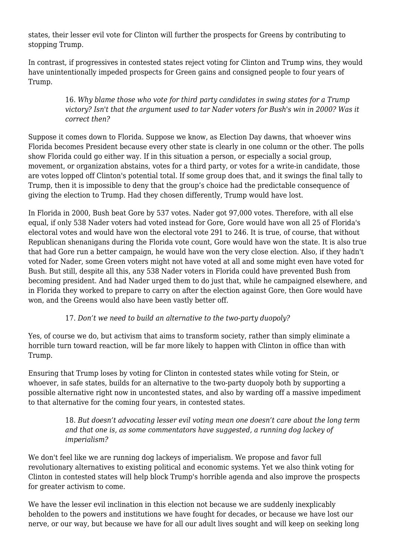states, their lesser evil vote for Clinton will further the prospects for Greens by contributing to stopping Trump.

In contrast, if progressives in contested states reject voting for Clinton and Trump wins, they would have unintentionally impeded prospects for Green gains and consigned people to four years of Trump.

> 16. *Why blame those who vote for third party candidates in swing states for a Trump victory? Isn't that the argument used to tar Nader voters for Bush's win in 2000? Was it correct then?*

Suppose it comes down to Florida. Suppose we know, as Election Day dawns, that whoever wins Florida becomes President because every other state is clearly in one column or the other. The polls show Florida could go either way. If in this situation a person, or especially a social group, movement, or organization abstains, votes for a third party, or votes for a write-in candidate, those are votes lopped off Clinton's potential total. If some group does that, and it swings the final tally to Trump, then it is impossible to deny that the group's choice had the predictable consequence of giving the election to Trump. Had they chosen differently, Trump would have lost.

In Florida in 2000, Bush beat Gore by 537 votes. Nader got 97,000 votes. Therefore, with all else equal, if only 538 Nader voters had voted instead for Gore, Gore would have won all 25 of Florida's electoral votes and would have won the electoral vote 291 to 246. It is true, of course, that without Republican shenanigans during the Florida vote count, Gore would have won the state. It is also true that had Gore run a better campaign, he would have won the very close election. Also, if they hadn't voted for Nader, some Green voters might not have voted at all and some might even have voted for Bush. But still, despite all this, any 538 Nader voters in Florida could have prevented Bush from becoming president. And had Nader urged them to do just that, while he campaigned elsewhere, and in Florida they worked to prepare to carry on after the election against Gore, then Gore would have won, and the Greens would also have been vastly better off.

#### 17. *Don't we need to build an alternative to the two-party duopoly?*

Yes, of course we do, but activism that aims to transform society, rather than simply eliminate a horrible turn toward reaction, will be far more likely to happen with Clinton in office than with Trump.

Ensuring that Trump loses by voting for Clinton in contested states while voting for Stein, or whoever, in safe states, builds for an alternative to the two-party duopoly both by supporting a possible alternative right now in uncontested states, and also by warding off a massive impediment to that alternative for the coming four years, in contested states.

> 18. *But doesn't advocating lesser evil voting mean one doesn't care about the long term and that one is, as some commentators have suggested, a running dog lackey of imperialism?*

We don't feel like we are running dog lackeys of imperialism. We propose and favor full revolutionary alternatives to existing political and economic systems. Yet we also think voting for Clinton in contested states will help block Trump's horrible agenda and also improve the prospects for greater activism to come.

We have the lesser evil inclination in this election not because we are suddenly inexplicably beholden to the powers and institutions we have fought for decades, or because we have lost our nerve, or our way, but because we have for all our adult lives sought and will keep on seeking long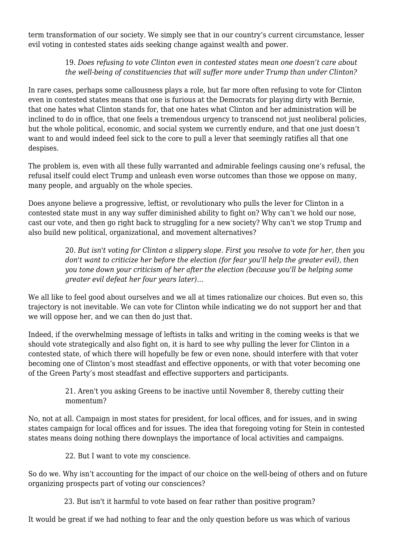term transformation of our society. We simply see that in our country's current circumstance, lesser evil voting in contested states aids seeking change against wealth and power.

#### 19. *Does refusing to vote Clinton even in contested states mean one doesn't care about the well-being of constituencies that will suffer more under Trump than under Clinton?*

In rare cases, perhaps some callousness plays a role, but far more often refusing to vote for Clinton even in contested states means that one is furious at the Democrats for playing dirty with Bernie, that one hates what Clinton stands for, that one hates what Clinton and her administration will be inclined to do in office, that one feels a tremendous urgency to transcend not just neoliberal policies, but the whole political, economic, and social system we currently endure, and that one just doesn't want to and would indeed feel sick to the core to pull a lever that seemingly ratifies all that one despises.

The problem is, even with all these fully warranted and admirable feelings causing one's refusal, the refusal itself could elect Trump and unleash even worse outcomes than those we oppose on many, many people, and arguably on the whole species.

Does anyone believe a progressive, leftist, or revolutionary who pulls the lever for Clinton in a contested state must in any way suffer diminished ability to fight on? Why can't we hold our nose, cast our vote, and then go right back to struggling for a new society? Why can't we stop Trump and also build new political, organizational, and movement alternatives?

> 20. *But isn't voting for Clinton a slippery slope. First you resolve to vote for her, then you don't want to criticize her before the election (for fear you'll help the greater evil), then you tone down your criticism of her after the election (because you'll be helping some greater evil defeat her four years later)…*

We all like to feel good about ourselves and we all at times rationalize our choices. But even so, this trajectory is not inevitable. We can vote for Clinton while indicating we do not support her and that we will oppose her, and we can then do just that.

Indeed, if the overwhelming message of leftists in talks and writing in the coming weeks is that we should vote strategically and also fight on, it is hard to see why pulling the lever for Clinton in a contested state, of which there will hopefully be few or even none, should interfere with that voter becoming one of Clinton's most steadfast and effective opponents, or with that voter becoming one of the Green Party's most steadfast and effective supporters and participants.

> 21. Aren't you asking Greens to be inactive until November 8, thereby cutting their momentum?

No, not at all. Campaign in most states for president, for local offices, and for issues, and in swing states campaign for local offices and for issues. The idea that foregoing voting for Stein in contested states means doing nothing there downplays the importance of local activities and campaigns.

22. But I want to vote my conscience.

So do we. Why isn't accounting for the impact of our choice on the well-being of others and on future organizing prospects part of voting our consciences?

23. But isn't it harmful to vote based on fear rather than positive program?

It would be great if we had nothing to fear and the only question before us was which of various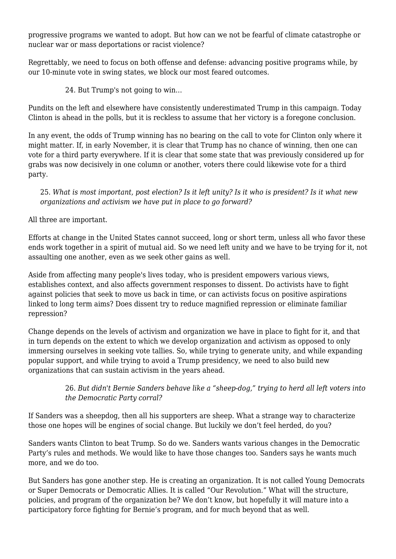progressive programs we wanted to adopt. But how can we not be fearful of climate catastrophe or nuclear war or mass deportations or racist violence?

Regrettably, we need to focus on both offense and defense: advancing positive programs while, by our 10-minute vote in swing states, we block our most feared outcomes.

24. But Trump's not going to win…

Pundits on the left and elsewhere have consistently underestimated Trump in this campaign. Today Clinton is ahead in the polls, but it is reckless to assume that her victory is a foregone conclusion.

In any event, the odds of Trump winning has no bearing on the call to vote for Clinton only where it might matter. If, in early November, it is clear that Trump has no chance of winning, then one can vote for a third party everywhere. If it is clear that some state that was previously considered up for grabs was now decisively in one column or another, voters there could likewise vote for a third party.

25. *What is most important, post election? Is it left unity? Is it who is president? Is it what new organizations and activism we have put in place to go forward?*

All three are important.

Efforts at change in the United States cannot succeed, long or short term, unless all who favor these ends work together in a spirit of mutual aid. So we need left unity and we have to be trying for it, not assaulting one another, even as we seek other gains as well.

Aside from affecting many people's lives today, who is president empowers various views, establishes context, and also affects government responses to dissent. Do activists have to fight against policies that seek to move us back in time, or can activists focus on positive aspirations linked to long term aims? Does dissent try to reduce magnified repression or eliminate familiar repression?

Change depends on the levels of activism and organization we have in place to fight for it, and that in turn depends on the extent to which we develop organization and activism as opposed to only immersing ourselves in seeking vote tallies. So, while trying to generate unity, and while expanding popular support, and while trying to avoid a Trump presidency, we need to also build new organizations that can sustain activism in the years ahead.

## 26. *But didn't Bernie Sanders behave like a "sheep-dog," trying to herd all left voters into the Democratic Party corral?*

If Sanders was a sheepdog, then all his supporters are sheep. What a strange way to characterize those one hopes will be engines of social change. But luckily we don't feel herded, do you?

Sanders wants Clinton to beat Trump. So do we. Sanders wants various changes in the Democratic Party's rules and methods. We would like to have those changes too. Sanders says he wants much more, and we do too.

But Sanders has gone another step. He is creating an organization. It is not called Young Democrats or Super Democrats or Democratic Allies. It is called "Our Revolution." What will the structure, policies, and program of the organization be? We don't know, but hopefully it will mature into a participatory force fighting for Bernie's program, and for much beyond that as well.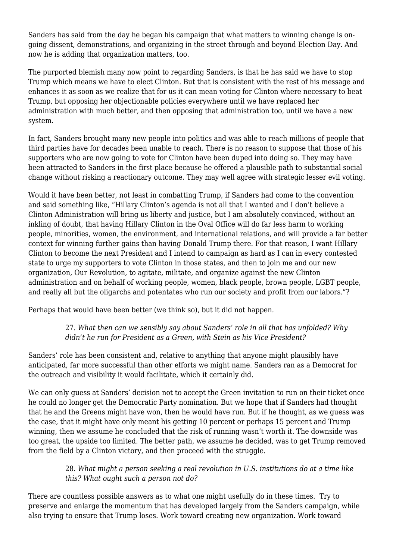Sanders has said from the day he began his campaign that what matters to winning change is ongoing dissent, demonstrations, and organizing in the street through and beyond Election Day. And now he is adding that organization matters, too.

The purported blemish many now point to regarding Sanders, is that he has said we have to stop Trump which means we have to elect Clinton. But that is consistent with the rest of his message and enhances it as soon as we realize that for us it can mean voting for Clinton where necessary to beat Trump, but opposing her objectionable policies everywhere until we have replaced her administration with much better, and then opposing that administration too, until we have a new system.

In fact, Sanders brought many new people into politics and was able to reach millions of people that third parties have for decades been unable to reach. There is no reason to suppose that those of his supporters who are now going to vote for Clinton have been duped into doing so. They may have been attracted to Sanders in the first place because he offered a plausible path to substantial social change without risking a reactionary outcome. They may well agree with strategic lesser evil voting.

Would it have been better, not least in combatting Trump, if Sanders had come to the convention and said something like, "Hillary Clinton's agenda is not all that I wanted and I don't believe a Clinton Administration will bring us liberty and justice, but I am absolutely convinced, without an inkling of doubt, that having Hillary Clinton in the Oval Office will do far less harm to working people, minorities, women, the environment, and international relations, and will provide a far better context for winning further gains than having Donald Trump there. For that reason, I want Hillary Clinton to become the next President and I intend to campaign as hard as I can in every contested state to urge my supporters to vote Clinton in those states, and then to join me and our new organization, Our Revolution, to agitate, militate, and organize against the new Clinton administration and on behalf of working people, women, black people, brown people, LGBT people, and really all but the oligarchs and potentates who run our society and profit from our labors."?

Perhaps that would have been better (we think so), but it did not happen.

27. *What then can we sensibly say about Sanders' role in all that has unfolded? Why didn't he run for President as a Green, with Stein as his Vice President?*

Sanders' role has been consistent and, relative to anything that anyone might plausibly have anticipated, far more successful than other efforts we might name. Sanders ran as a Democrat for the outreach and visibility it would facilitate, which it certainly did.

We can only guess at Sanders' decision not to accept the Green invitation to run on their ticket once he could no longer get the Democratic Party nomination. But we hope that if Sanders had thought that he and the Greens might have won, then he would have run. But if he thought, as we guess was the case, that it might have only meant his getting 10 percent or perhaps 15 percent and Trump winning, then we assume he concluded that the risk of running wasn't worth it. The downside was too great, the upside too limited. The better path, we assume he decided, was to get Trump removed from the field by a Clinton victory, and then proceed with the struggle.

> 28. *What might a person seeking a real revolution in U.S. institutions do at a time like this? What ought such a person not do?*

There are countless possible answers as to what one might usefully do in these times. Try to preserve and enlarge the momentum that has developed largely from the Sanders campaign, while also trying to ensure that Trump loses. Work toward creating new organization. Work toward